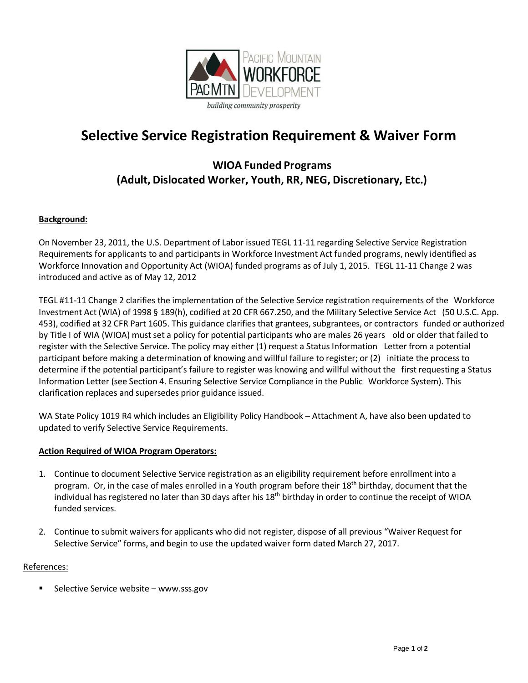

# **Selective Service Registration Requirement & Waiver Form**

### **WIOA Funded Programs (Adult, Dislocated Worker, Youth, RR, NEG, Discretionary, Etc.)**

#### **Background:**

On November 23, 2011, the U.S. Department of Labor issued TEGL 11-11 regarding Selective Service Registration Requirements for applicants to and participants in Workforce Investment Act funded programs, newly identified as Workforce Innovation and Opportunity Act (WIOA) funded programs as of July 1, 2015. TEGL 11-11 Change 2 was introduced and active as of May 12, 2012

TEGL #11-11 Change 2 clarifies the implementation of the Selective Service registration requirements of the Workforce Investment Act (WIA) of 1998 § 189(h), codified at 20 CFR 667.250, and the Military Selective Service Act (50 U.S.C. App. 453), codified at 32 CFR Part 1605. This guidance clarifies that grantees, subgrantees, or contractors funded or authorized by Title I of WIA (WIOA) must set a policy for potential participants who are males 26 years old or older that failed to register with the Selective Service. The policy may either (1) request a Status Information Letter from a potential participant before making a determination of knowing and willful failure to register; or (2) initiate the process to determine if the potential participant's failure to register was knowing and willful without the first requesting a Status Information Letter (see Section 4. Ensuring Selective Service Compliance in the Public Workforce System). This clarification replaces and supersedes prior guidance issued.

WA State Policy 1019 R4 which includes an Eligibility Policy Handbook – Attachment A, have also been updated to updated to verify Selective Service Requirements.

#### **Action Required of WIOA Program Operators:**

- 1. Continue to document Selective Service registration as an eligibility requirement before enrollment into a program. Or, in the case of males enrolled in a Youth program before their 18<sup>th</sup> birthday, document that the individual has registered no later than 30 days after his 18<sup>th</sup> birthday in order to continue the receipt of WIOA funded services.
- 2. Continue to submit waivers for applicants who did not register, dispose of all previous "Waiver Request for Selective Service" forms, and begin to use the updated waiver form dated March 27, 2017.

#### References:

Selective Service website – [www.sss.gov](http://www.sss.gov/)